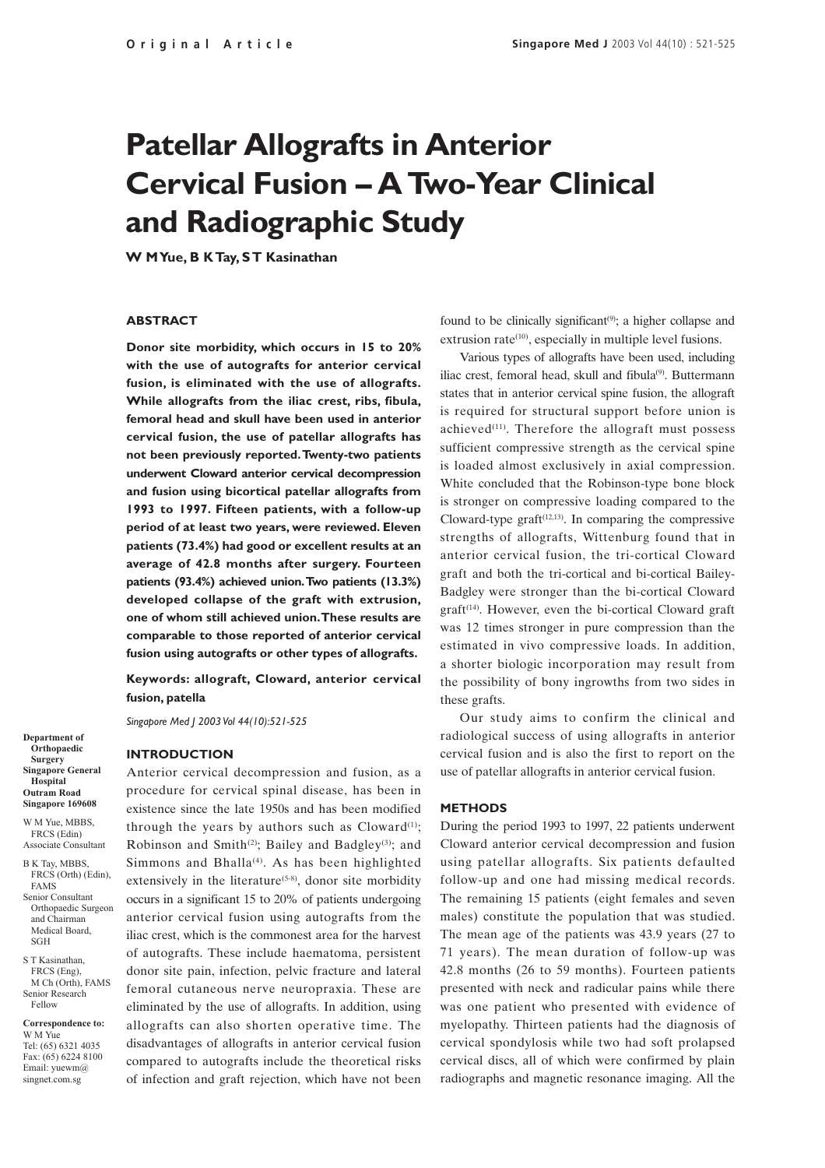# **Patellar Allografts in Anterior Cervical Fusion – A Two-Year Clinical and Radiographic Study**

**W M Yue, B K Tay, S T Kasinathan**

#### **ABSTRACT**

**Donor site morbidity, which occurs in 15 to 20% with the use of autografts for anterior cervical fusion, is eliminated with the use of allografts. While allografts from the iliac crest, ribs, fibula, femoral head and skull have been used in anterior cervical fusion, the use of patellar allografts has not been previously reported. Twenty-two patients underwent Cloward anterior cervical decompression and fusion using bicortical patellar allografts from 1993 to 1997. Fifteen patients, with a follow-up period of at least two years, were reviewed. Eleven patients (73.4%) had good or excellent results at an average of 42.8 months after surgery. Fourteen patients (93.4%) achieved union. Two patients (13.3%) developed collapse of the graft with extrusion, one of whom still achieved union. These results are comparable to those reported of anterior cervical fusion using autografts or other types of allografts.**

**Keywords: allograft, Cloward, anterior cervical fusion, patella**

*Singapore Med J 2003 Vol 44(10):521-525*

**INTRODUCTION**

**Surgery Singapore General Hospital Outram Road Singapore 169608**

**Department of Orthopaedic**

W M Yue, MBBS, FRCS (Edin) Associate Consultant

B K Tay, MBBS, FRCS (Orth) (Edin), FAMS Senior Consultant Orthopaedic Surgeon and Chairman Medical Board, SGH

S T Kasinathan, FRCS (Eng), M Ch (Orth), FAMS Senior Research Fellow

**Correspondence to:** W M Yue Tel: (65) 6321 4035 Fax: (65) 6224 8100 Email: yuewm@ singnet.com.sg

Anterior cervical decompression and fusion, as a procedure for cervical spinal disease, has been in existence since the late 1950s and has been modified through the years by authors such as  $C\text{loward}^{(1)}$ ; Robinson and Smith<sup>(2)</sup>; Bailey and Badgley<sup>(3)</sup>; and Simmons and Bhalla<sup> $(4)$ </sup>. As has been highlighted extensively in the literature<sup> $(5-8)$ </sup>, donor site morbidity occurs in a significant 15 to 20% of patients undergoing anterior cervical fusion using autografts from the iliac crest, which is the commonest area for the harvest of autografts. These include haematoma, persistent donor site pain, infection, pelvic fracture and lateral femoral cutaneous nerve neuropraxia. These are eliminated by the use of allografts. In addition, using allografts can also shorten operative time. The disadvantages of allografts in anterior cervical fusion compared to autografts include the theoretical risks of infection and graft rejection, which have not been

found to be clinically significant $(9)$ ; a higher collapse and extrusion rate $(10)$ , especially in multiple level fusions.

Various types of allografts have been used, including iliac crest, femoral head, skull and fibula<sup>(9)</sup>. Buttermann states that in anterior cervical spine fusion, the allograft is required for structural support before union is achieved<sup>(11)</sup>. Therefore the allograft must possess sufficient compressive strength as the cervical spine is loaded almost exclusively in axial compression. White concluded that the Robinson-type bone block is stronger on compressive loading compared to the Cloward-type graft $(12,13)$ . In comparing the compressive strengths of allografts, Wittenburg found that in anterior cervical fusion, the tri-cortical Cloward graft and both the tri-cortical and bi-cortical Bailey-Badgley were stronger than the bi-cortical Cloward  $graff<sup>(14)</sup>$ . However, even the bi-cortical Cloward graft was 12 times stronger in pure compression than the estimated in vivo compressive loads. In addition, a shorter biologic incorporation may result from the possibility of bony ingrowths from two sides in these grafts.

Our study aims to confirm the clinical and radiological success of using allografts in anterior cervical fusion and is also the first to report on the use of patellar allografts in anterior cervical fusion.

#### **METHODS**

During the period 1993 to 1997, 22 patients underwent Cloward anterior cervical decompression and fusion using patellar allografts. Six patients defaulted follow-up and one had missing medical records. The remaining 15 patients (eight females and seven males) constitute the population that was studied. The mean age of the patients was 43.9 years (27 to 71 years). The mean duration of follow-up was 42.8 months (26 to 59 months). Fourteen patients presented with neck and radicular pains while there was one patient who presented with evidence of myelopathy. Thirteen patients had the diagnosis of cervical spondylosis while two had soft prolapsed cervical discs, all of which were confirmed by plain radiographs and magnetic resonance imaging. All the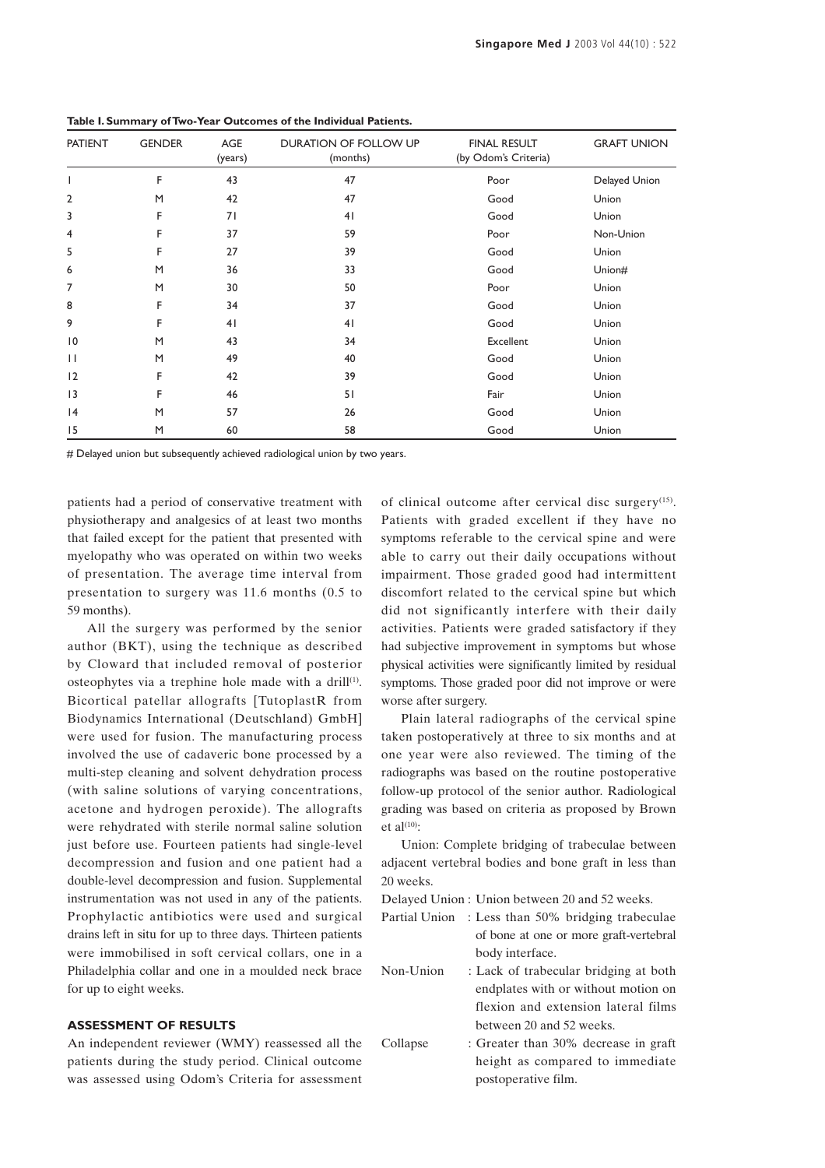| <b>PATIENT</b> | <b>GENDER</b> | AGE<br>(years) | <b>DURATION OF FOLLOW UP</b><br>(months) | <b>FINAL RESULT</b><br>(by Odom's Criteria) | <b>GRAFT UNION</b> |
|----------------|---------------|----------------|------------------------------------------|---------------------------------------------|--------------------|
|                | F             | 43             | 47                                       | Poor                                        | Delayed Union      |
| 2              | M             | 42             | 47                                       | Good                                        | Union              |
| 3              | F             | 71             | 41                                       | Good                                        | Union              |
| 4              | F             | 37             | 59                                       | Poor                                        | Non-Union          |
| 5              | F             | 27             | 39                                       | Good                                        | Union              |
| 6              | M             | 36             | 33                                       | Good                                        | Union#             |
| 7              | M             | 30             | 50                                       | Poor                                        | Union              |
| 8              | F             | 34             | 37                                       | Good                                        | Union              |
| 9              | F             | 41             | 41                                       | Good                                        | Union              |
| 10             | M             | 43             | 34                                       | Excellent                                   | Union              |
| П              | M             | 49             | 40                                       | Good                                        | Union              |
| 12             | F             | 42             | 39                                       | Good                                        | Union              |
| 3              | F             | 46             | 51                                       | Fair                                        | Union              |
| 4              | M             | 57             | 26                                       | Good                                        | Union              |
| 15             | M             | 60             | 58                                       | Good                                        | Union              |

**Table I. Summary of Two-Year Outcomes of the Individual Patients.**

# Delayed union but subsequently achieved radiological union by two years.

patients had a period of conservative treatment with physiotherapy and analgesics of at least two months that failed except for the patient that presented with myelopathy who was operated on within two weeks of presentation. The average time interval from presentation to surgery was 11.6 months (0.5 to 59 months).

All the surgery was performed by the senior author (BKT), using the technique as described by Cloward that included removal of posterior osteophytes via a trephine hole made with a drill<sup>(1)</sup>. Bicortical patellar allografts [TutoplastR from Biodynamics International (Deutschland) GmbH] were used for fusion. The manufacturing process involved the use of cadaveric bone processed by a multi-step cleaning and solvent dehydration process (with saline solutions of varying concentrations, acetone and hydrogen peroxide). The allografts were rehydrated with sterile normal saline solution just before use. Fourteen patients had single-level decompression and fusion and one patient had a double-level decompression and fusion. Supplemental instrumentation was not used in any of the patients. Prophylactic antibiotics were used and surgical drains left in situ for up to three days. Thirteen patients were immobilised in soft cervical collars, one in a Philadelphia collar and one in a moulded neck brace for up to eight weeks.

### **ASSESSMENT OF RESULTS**

An independent reviewer (WMY) reassessed all the patients during the study period. Clinical outcome was assessed using Odom's Criteria for assessment

of clinical outcome after cervical disc surgery $(15)$ . Patients with graded excellent if they have no symptoms referable to the cervical spine and were able to carry out their daily occupations without impairment. Those graded good had intermittent discomfort related to the cervical spine but which did not significantly interfere with their daily activities. Patients were graded satisfactory if they had subjective improvement in symptoms but whose physical activities were significantly limited by residual symptoms. Those graded poor did not improve or were worse after surgery.

Plain lateral radiographs of the cervical spine taken postoperatively at three to six months and at one year were also reviewed. The timing of the radiographs was based on the routine postoperative follow-up protocol of the senior author. Radiological grading was based on criteria as proposed by Brown et al $^{(10)}$ :

Union: Complete bridging of trabeculae between adjacent vertebral bodies and bone graft in less than 20 weeks.

Delayed Union : Union between 20 and 52 weeks.

- Partial Union : Less than 50% bridging trabeculae of bone at one or more graft-vertebral body interface.
- Non-Union : Lack of trabecular bridging at both endplates with or without motion on flexion and extension lateral films between 20 and 52 weeks.
- Collapse : Greater than 30% decrease in graft height as compared to immediate postoperative film.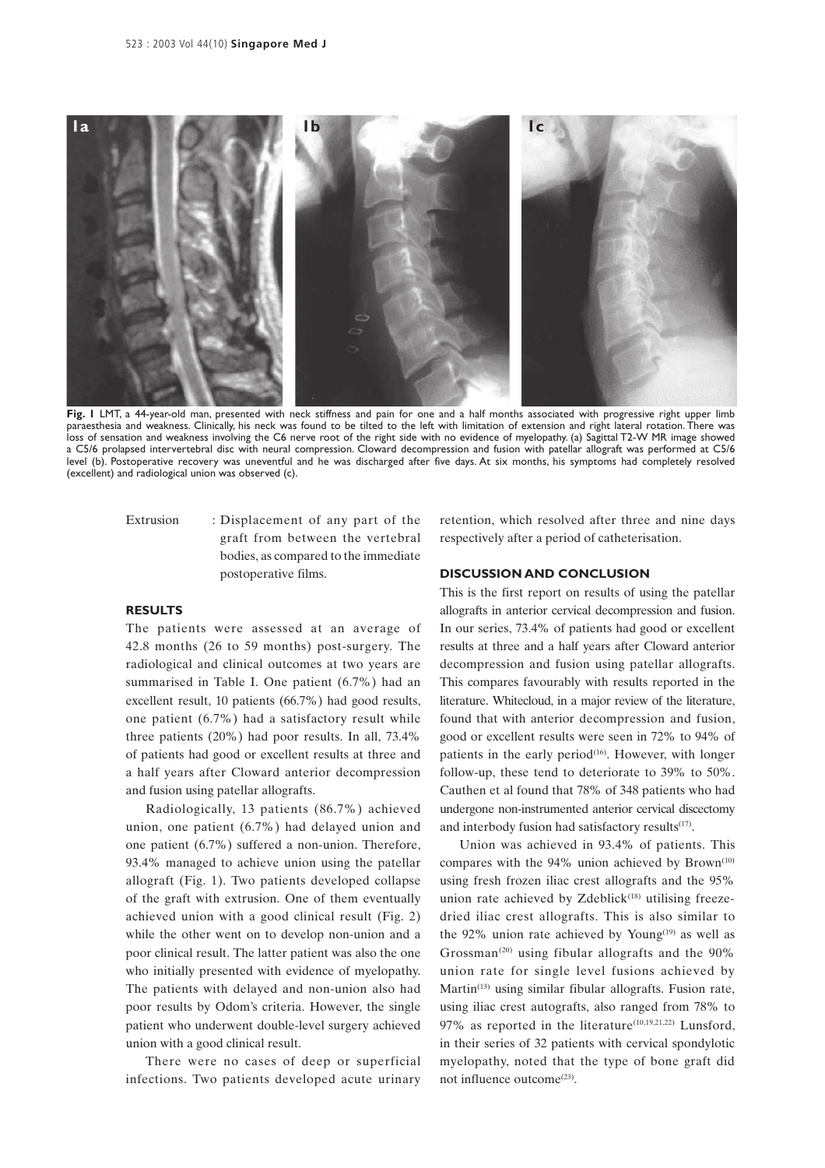

**Fig. 1** LMT, a 44-year-old man, presented with neck stiffness and pain for one and a half months associated with progressive right upper limb paraesthesia and weakness. Clinically, his neck was found to be tilted to the left with limitation of extension and right lateral rotation. There was loss of sensation and weakness involving the C6 nerve root of the right side with no evidence of myelopathy. (a) Sagittal T2-W MR image showed a C5/6 prolapsed intervertebral disc with neural compression. Cloward decompression and fusion with patellar allograft was performed at C5/6 level (b). Postoperative recovery was uneventful and he was discharged after five days. At six months, his symptoms had completely resolved (excellent) and radiological union was observed (c).

Extrusion : Displacement of any part of the graft from between the vertebral bodies, as compared to the immediate postoperative films.

#### **RESULTS**

The patients were assessed at an average of 42.8 months (26 to 59 months) post-surgery. The radiological and clinical outcomes at two years are summarised in Table I. One patient (6.7%) had an excellent result, 10 patients (66.7%) had good results, one patient (6.7%) had a satisfactory result while three patients (20%) had poor results. In all, 73.4% of patients had good or excellent results at three and a half years after Cloward anterior decompression and fusion using patellar allografts.

Radiologically, 13 patients (86.7%) achieved union, one patient (6.7%) had delayed union and one patient (6.7%) suffered a non-union. Therefore, 93.4% managed to achieve union using the patellar allograft (Fig. 1). Two patients developed collapse of the graft with extrusion. One of them eventually achieved union with a good clinical result (Fig. 2) while the other went on to develop non-union and a poor clinical result. The latter patient was also the one who initially presented with evidence of myelopathy. The patients with delayed and non-union also had poor results by Odom's criteria. However, the single patient who underwent double-level surgery achieved union with a good clinical result.

There were no cases of deep or superficial infections. Two patients developed acute urinary retention, which resolved after three and nine days respectively after a period of catheterisation.

#### **DISCUSSION AND CONCLUSION**

This is the first report on results of using the patellar allografts in anterior cervical decompression and fusion. In our series, 73.4% of patients had good or excellent results at three and a half years after Cloward anterior decompression and fusion using patellar allografts. This compares favourably with results reported in the literature. Whitecloud, in a major review of the literature, found that with anterior decompression and fusion, good or excellent results were seen in 72% to 94% of patients in the early period $(16)$ . However, with longer follow-up, these tend to deteriorate to 39% to 50%. Cauthen et al found that 78% of 348 patients who had undergone non-instrumented anterior cervical discectomy and interbody fusion had satisfactory results<sup>(17)</sup>.

Union was achieved in 93.4% of patients. This compares with the  $94\%$  union achieved by Brown<sup>(10)</sup> using fresh frozen iliac crest allografts and the 95% union rate achieved by  $Z$ deblick<sup> $(18)$ </sup> utilising freezedried iliac crest allografts. This is also similar to the 92% union rate achieved by Young<sup> $(19)$ </sup> as well as Grossman<sup>(20)</sup> using fibular allografts and the  $90\%$ union rate for single level fusions achieved by Martin<sup>(13)</sup> using similar fibular allografts. Fusion rate, using iliac crest autografts, also ranged from 78% to 97% as reported in the literature<sup>(10,19,21,22)</sup> Lunsford. in their series of 32 patients with cervical spondylotic myelopathy, noted that the type of bone graft did not influence outcome<sup>(23)</sup>.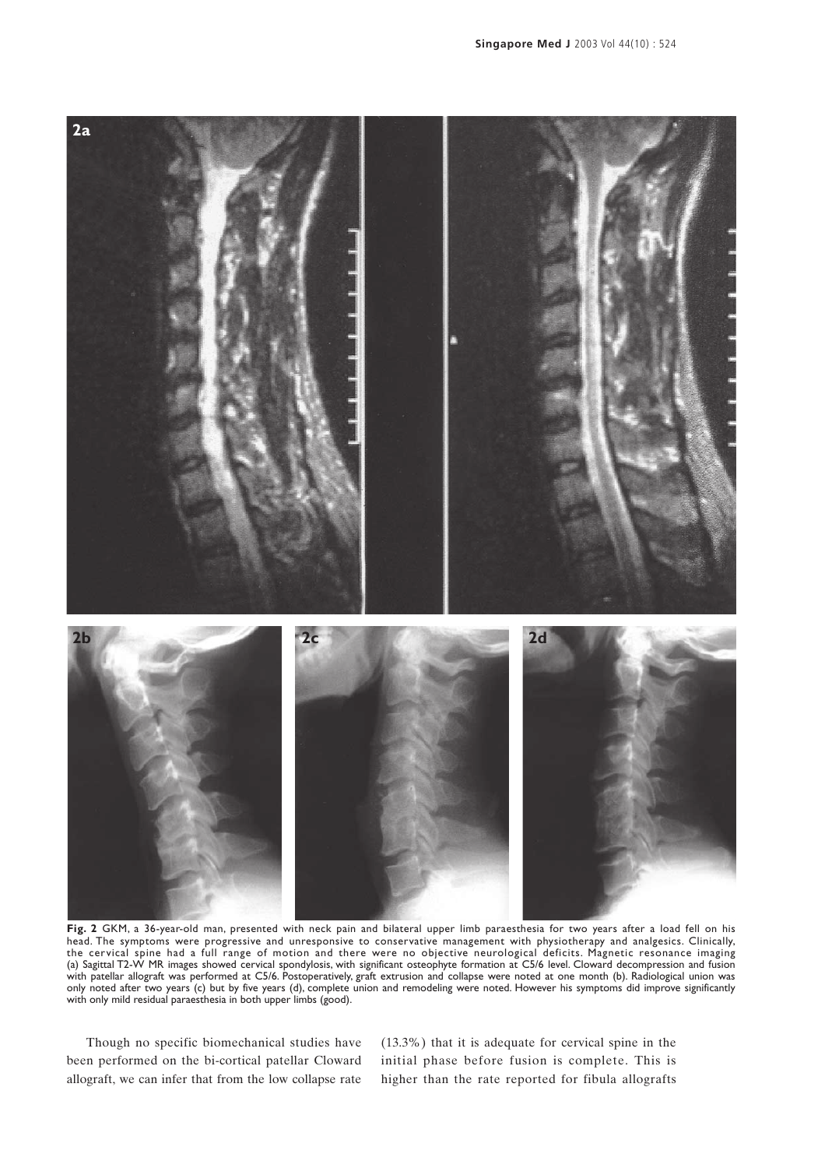

**Fig. 2** GKM, a 36-year-old man, presented with neck pain and bilateral upper limb paraesthesia for two years after a load fell on his head. The symptoms were progressive and unresponsive to conservative management with physiotherapy and analgesics. Clinically, the cervical spine had a full range of motion and there were no objective neurological deficits. Magnetic resonance imaging (a) Sagittal T2-W MR images showed cervical spondylosis, with significant osteophyte formation at C5/6 level. Cloward decompression and fusion with patellar allograft was performed at C5/6. Postoperatively, graft extrusion and collapse were noted at one month (b). Radiological union was only noted after two years (c) but by five years (d), complete union and remodeling were noted. However his symptoms did improve significantly with only mild residual paraesthesia in both upper limbs (good).

Though no specific biomechanical studies have been performed on the bi-cortical patellar Cloward allograft, we can infer that from the low collapse rate (13.3%) that it is adequate for cervical spine in the initial phase before fusion is complete. This is higher than the rate reported for fibula allografts